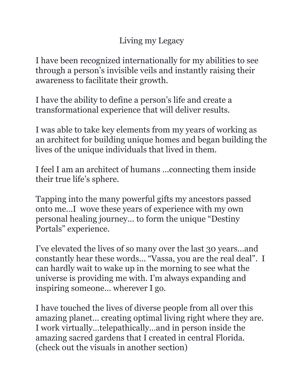## Living my Legacy

I have been recognized internationally for my abilities to see through a person's invisible veils and instantly raising their awareness to facilitate their growth.

I have the ability to define a person's life and create a transformational experience that will deliver results.

I was able to take key elements from my years of working as an architect for building unique homes and began building the lives of the unique individuals that lived in them.

I feel I am an architect of humans ...connecting them inside their true life's sphere.

Tapping into the many powerful gifts my ancestors passed onto me…I wove these years of experience with my own personal healing journey... to form the unique "Destiny Portals" experience.

I've elevated the lives of so many over the last 30 years…and constantly hear these words... "Vassa, you are the real deal". I can hardly wait to wake up in the morning to see what the universe is providing me with. I'm always expanding and inspiring someone... wherever I go.

I have touched the lives of diverse people from all over this amazing planet… creating optimal living right where they are. I work virtually…telepathically…and in person inside the amazing sacred gardens that I created in central Florida. (check out the visuals in another section)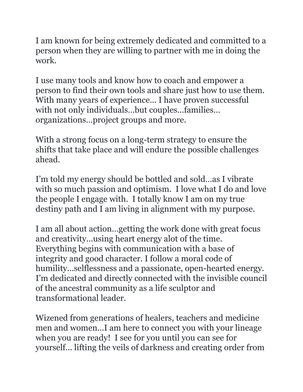I am known for being extremely dedicated and committed to a person when they are willing to partner with me in doing the work.

I use many tools and know how to coach and empower a person to find their own tools and share just how to use them. With many years of experience... I have proven successful with not only individuals…but couples...families… organizations…project groups and more.

With a strong focus on a long-term strategy to ensure the shifts that take place and will endure the possible challenges ahead.

I'm told my energy should be bottled and sold…as I vibrate with so much passion and optimism. I love what I do and love the people I engage with. I totally know I am on my true destiny path and I am living in alignment with my purpose.

I am all about action…getting the work done with great focus and creativity...using heart energy alot of the time. Everything begins with communication with a base of integrity and good character. I follow a moral code of humility...selflessness and a passionate, open-hearted energy. I'm dedicated and directly connected with the invisible council of the ancestral community as a life sculptor and transformational leader.

Wizened from generations of healers, teachers and medicine men and women...I am here to connect you with your lineage when you are ready! I see for you until you can see for yourself... lifting the veils of darkness and creating order from